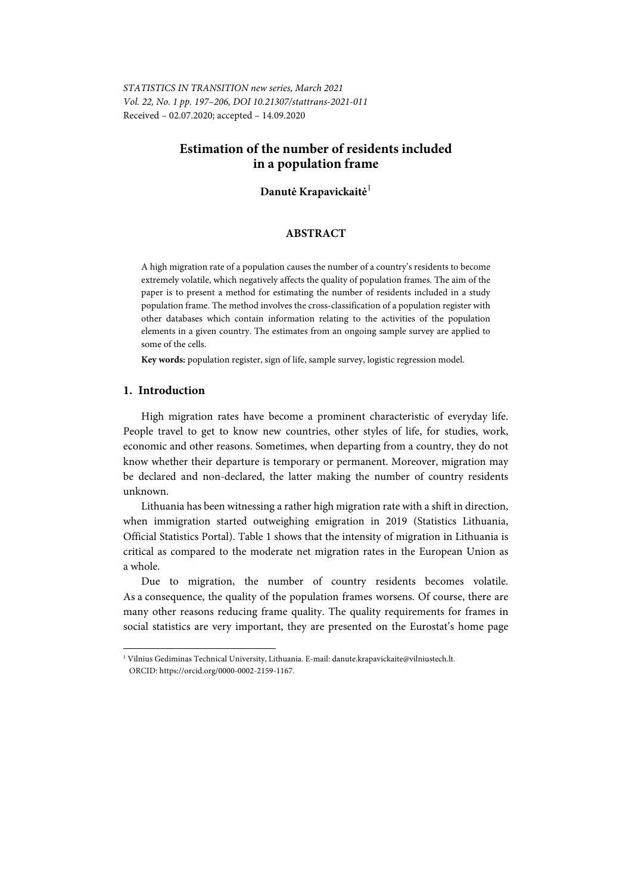*STATISTICS IN TRANSITION new series, March 2021 Vol. 22, No. 1 pp. 197–206, DOI 10.21307/stattrans-2021-011*  Received – 02.07.2020; accepted – 14.09.2020

# **Estimation of the number of residents included in a population frame**

# **Danutė Krapavickaitė**<sup>1</sup>

### **ABSTRACT**

A high migration rate of a population causes the number of a country's residents to become extremely volatile, which negatively affects the quality of population frames. The aim of the paper is to present a method for estimating the number of residents included in a study population frame. The method involves the cross-classification of a population register with other databases which contain information relating to the activities of the population elements in a given country. The estimates from an ongoing sample survey are applied to some of the cells.

**Key words:** population register, sign of life, sample survey, logistic regression model.

# **1. Introduction**

High migration rates have become a prominent characteristic of everyday life. People travel to get to know new countries, other styles of life, for studies, work, economic and other reasons. Sometimes, when departing from a country, they do not know whether their departure is temporary or permanent. Moreover, migration may be declared and non-declared, the latter making the number of country residents unknown.

Lithuania has been witnessing a rather high migration rate with a shift in direction, when immigration started outweighing emigration in 2019 (Statistics Lithuania, Official Statistics Portal). Table 1 shows that the intensity of migration in Lithuania is critical as compared to the moderate net migration rates in the European Union as a whole.

Due to migration, the number of country residents becomes volatile. As a consequence, the quality of the population frames worsens. Of course, there are many other reasons reducing frame quality. The quality requirements for frames in social statistics are very important, they are presented on the Eurostat's home page

l

<sup>1</sup> Vilnius Gediminas Technical University, Lithuania. E-mail: danute.krapavickaite@vilniustech.lt. ORCID: https://orcid.org/0000-0002-2159-1167.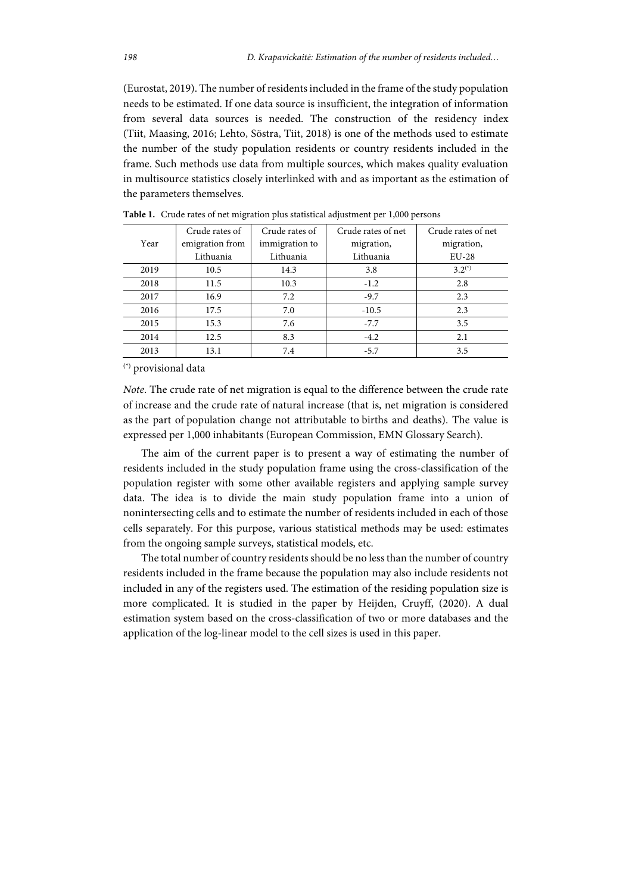(Eurostat, 2019). The number of residents included in the frame of the study population needs to be estimated. If one data source is insufficient, the integration of information from several data sources is needed. The construction of the residency index (Tiit, Maasing, 2016; Lehto, Söstra, Tiit, 2018) is one of the methods used to estimate the number of the study population residents or country residents included in the frame. Such methods use data from multiple sources, which makes quality evaluation in multisource statistics closely interlinked with and as important as the estimation of the parameters themselves.

|      | Crude rates of  | Crude rates of | Crude rates of net | Crude rates of net |
|------|-----------------|----------------|--------------------|--------------------|
| Year | emigration from | immigration to | migration,         | migration,         |
|      | Lithuania       | Lithuania      | Lithuania          | $EU-28$            |
| 2019 | 10.5            | 14.3           | 3.8                | $3.2^{(*)}$        |
| 2018 | 11.5            | 10.3           | $-1.2$             | 2.8                |
| 2017 | 16.9            | 7.2            | $-9.7$             | 2.3                |
| 2016 | 17.5            | 7.0            | $-10.5$            | 2.3                |
| 2015 | 15.3            | 7.6            | $-7.7$             | 3.5                |
| 2014 | 12.5            | 8.3            | $-4.2$             | 2.1                |
| 2013 | 13.1            | 7.4            | $-5.7$             | 3.5                |

**Table 1.** Crude rates of net migration plus statistical adjustment per 1,000 persons

(\*) provisional data

*Note*. The crude rate of net migration is equal to the difference between the crude rate of increase and the crude rate of natural increase (that is, net migration is considered as the part of population change not attributable to births and deaths). The value is expressed per 1,000 inhabitants (European Commission, EMN Glossary Search).

The aim of the current paper is to present a way of estimating the number of residents included in the study population frame using the cross-classification of the population register with some other available registers and applying sample survey data. The idea is to divide the main study population frame into a union of nonintersecting cells and to estimate the number of residents included in each of those cells separately. For this purpose, various statistical methods may be used: estimates from the ongoing sample surveys, statistical models, etc.

The total number of country residents should be no less than the number of country residents included in the frame because the population may also include residents not included in any of the registers used. The estimation of the residing population size is more complicated. It is studied in the paper by Heijden, Cruyff, (2020). A dual estimation system based on the cross-classification of two or more databases and the application of the log-linear model to the cell sizes is used in this paper.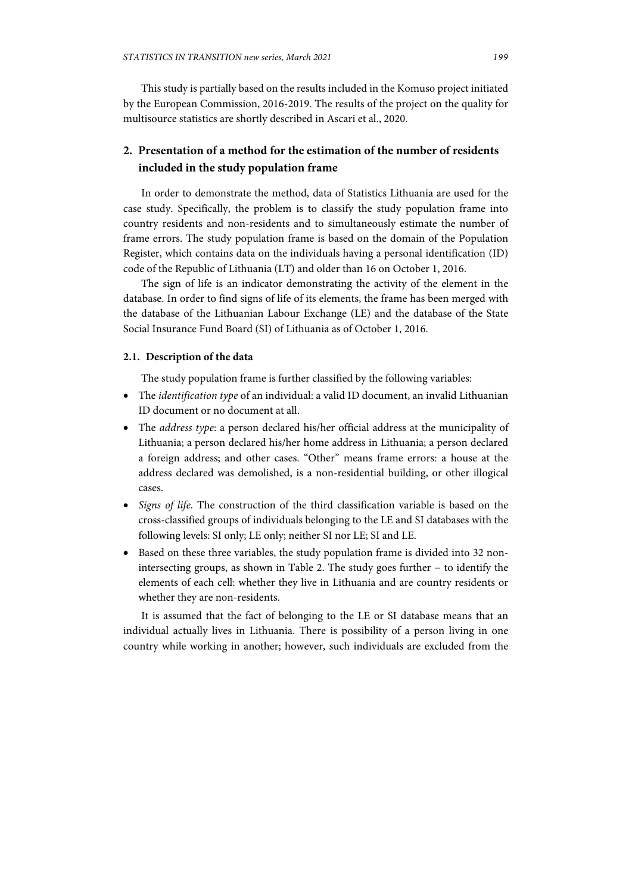This study is partially based on the results included in the Komuso project initiated by the European Commission, 2016-2019. The results of the project on the quality for multisource statistics are shortly described in Ascari et al., 2020.

# **2. Presentation of a method for the estimation of the number of residents included in the study population frame**

In order to demonstrate the method, data of Statistics Lithuania are used for the case study. Specifically, the problem is to classify the study population frame into country residents and non-residents and to simultaneously estimate the number of frame errors. The study population frame is based on the domain of the Population Register, which contains data on the individuals having a personal identification (ID) code of the Republic of Lithuania (LT) and older than 16 on October 1, 2016.

The sign of life is an indicator demonstrating the activity of the element in the database. In order to find signs of life of its elements, the frame has been merged with the database of the Lithuanian Labour Exchange (LE) and the database of the State Social Insurance Fund Board (SI) of Lithuania as of October 1, 2016.

#### **2.1. Description of the data**

The study population frame is further classified by the following variables:

- The *identification type* of an individual: a valid ID document, an invalid Lithuanian ID document or no document at all.
- The *address type*: a person declared his/her official address at the municipality of Lithuania; a person declared his/her home address in Lithuania; a person declared a foreign address; and other cases. "Other" means frame errors: a house at the address declared was demolished, is a non-residential building, or other illogical cases.
- *Signs of life.* The construction of the third classification variable is based on the cross-classified groups of individuals belonging to the LE and SI databases with the following levels: SI only; LE only; neither SI nor LE; SI and LE.
- Based on these three variables, the study population frame is divided into 32 nonintersecting groups, as shown in Table 2. The study goes further − to identify the elements of each cell: whether they live in Lithuania and are country residents or whether they are non-residents.

It is assumed that the fact of belonging to the LE or SI database means that an individual actually lives in Lithuania. There is possibility of a person living in one country while working in another; however, such individuals are excluded from the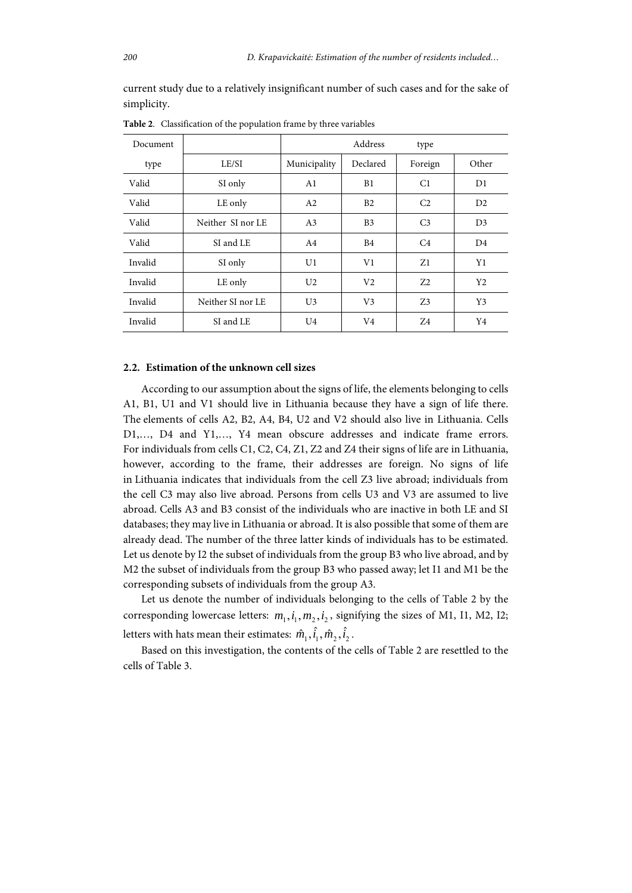current study due to a relatively insignificant number of such cases and for the sake of simplicity.

| Document |                   |                | Address        | type           |                |
|----------|-------------------|----------------|----------------|----------------|----------------|
| type     | LE/SI             | Municipality   | Declared       | Foreign        | Other          |
| Valid    | SI only           | A <sub>1</sub> | B1             | C1             | D1             |
| Valid    | LE only           | A2             | B <sub>2</sub> | C <sub>2</sub> | D2             |
| Valid    | Neither SI nor LE | A <sub>3</sub> | B <sub>3</sub> | C <sub>3</sub> | D <sub>3</sub> |
| Valid    | SI and LE         | A <sub>4</sub> | B <sub>4</sub> | C <sub>4</sub> | D <sub>4</sub> |
| Invalid  | SI only           | U1             | V1             | Z1             | Y1             |
| Invalid  | LE only           | U <sub>2</sub> | V <sub>2</sub> | 72             | Y <sub>2</sub> |
| Invalid  | Neither SI nor LE | U <sub>3</sub> | V <sub>3</sub> | 73             | Y3             |
| Invalid  | SI and LE         | U <sub>4</sub> | V4             | Z4             | Y4             |

**Table 2**. Classification of the population frame by three variables

# **2.2. Estimation of the unknown cell sizes**

According to our assumption about the signs of life, the elements belonging to cells A1, B1, U1 and V1 should live in Lithuania because they have a sign of life there. The elements of cells A2, B2, A4, B4, U2 and V2 should also live in Lithuania. Cells D1,…, D4 and Y1,…, Y4 mean obscure addresses and indicate frame errors. For individuals from cells C1, C2, C4, Z1, Z2 and Z4 their signs of life are in Lithuania, however, according to the frame, their addresses are foreign. No signs of life in Lithuania indicates that individuals from the cell Z3 live abroad; individuals from the cell C3 may also live abroad. Persons from cells U3 and V3 are assumed to live abroad. Cells A3 and B3 consist of the individuals who are inactive in both LE and SI databases; they may live in Lithuania or abroad. It is also possible that some of them are already dead. The number of the three latter kinds of individuals has to be estimated. Let us denote by I2 the subset of individuals from the group B3 who live abroad, and by M2 the subset of individuals from the group B3 who passed away; let I1 and M1 be the corresponding subsets of individuals from the group A3.

Let us denote the number of individuals belonging to the cells of Table 2 by the corresponding lowercase letters:  $m_1$ , $i_1$ , $m_2$ , $i_2$ , signifying the sizes of M1, I1, M2, I2; letters with hats mean their estimates:  $\hat{m}_{\scriptscriptstyle 1}^{}, \hat{i}_{\scriptscriptstyle 1}^{}, \hat{m}_{\scriptscriptstyle 2}^{}, \hat{i}_{\scriptscriptstyle 2}^{},$ 

Based on this investigation, the contents of the cells of Table 2 are resettled to the cells of Table 3.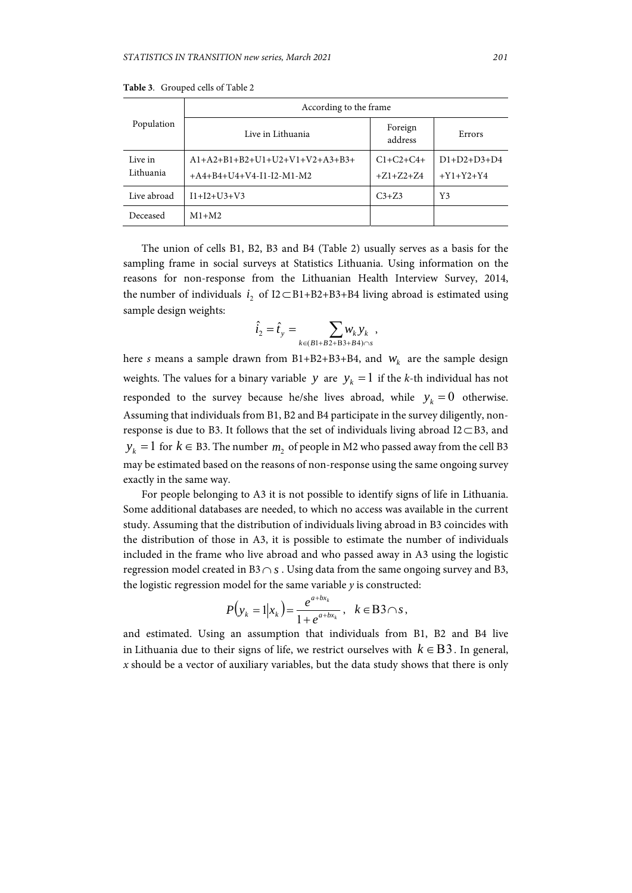| Population           | According to the frame                                         |                                 |                                    |  |  |
|----------------------|----------------------------------------------------------------|---------------------------------|------------------------------------|--|--|
|                      | Live in Lithuania                                              | Foreign<br>address              | Errors                             |  |  |
| Live in<br>Lithuania | $A1+A2+B1+B2+U1+U2+V1+V2+A3+B3+$<br>$+A4+B4+U4+V4-I1-I2-M1-M2$ | $C1 + C2 + C4 +$<br>$+Z1+Z2+Z4$ | $D1 + D2 + D3 + D4$<br>$+Y1+Y2+Y4$ |  |  |
| Live abroad          | $I1+I2+U3+V3$                                                  | $C_{3+}Z_{3}$                   | Y3                                 |  |  |
| Deceased             | $M1+M2$                                                        |                                 |                                    |  |  |

**Table 3**. Grouped cells of Table 2

The union of cells B1, B2, B3 and B4 (Table 2) usually serves as a basis for the sampling frame in social surveys at Statistics Lithuania. Using information on the reasons for non-response from the Lithuanian Health Interview Survey, 2014, the number of individuals  $i_2$  of  $I2 \subset B1+B2+B3+B4$  living abroad is estimated using sample design weights:

$$
\hat{i}_2=\hat{t}_y=\sum_{k\in (B1+B2+B3+B4)\cap s}\hspace{-0.2cm}w_k\,y_k\ ,
$$

here *s* means a sample drawn from B1+B2+B3+B4, and  $W_k$  are the sample design weights. The values for a binary variable *y* are  $y_k = 1$  if the *k*-th individual has not responded to the survey because he/she lives abroad, while  $y_k = 0$  otherwise. Assuming that individuals from B1, B2 and B4 participate in the survey diligently, nonresponse is due to B3. It follows that the set of individuals living abroad  $I2 \subset B3$ , and  $y_k = 1$  for  $k \in B$ 3. The number  $m_2$  of people in M2 who passed away from the cell B3 may be estimated based on the reasons of non-response using the same ongoing survey exactly in the same way.

For people belonging to A3 it is not possible to identify signs of life in Lithuania. Some additional databases are needed, to which no access was available in the current study. Assuming that the distribution of individuals living abroad in B3 coincides with the distribution of those in A3, it is possible to estimate the number of individuals included in the frame who live abroad and who passed away in A3 using the logistic regression model created in B3  $\cap$  s. Using data from the same ongoing survey and B3, the logistic regression model for the same variable *y* is constructed:

$$
P(y_k = 1 | x_k) = \frac{e^{a + bx_k}}{1 + e^{a + bx_k}}, \quad k \in \mathbf{B3} \cap s,
$$

and estimated. Using an assumption that individuals from B1, B2 and B4 live in Lithuania due to their signs of life, we restrict ourselves with  $k \in B3$ . In general, *x* should be a vector of auxiliary variables, but the data study shows that there is only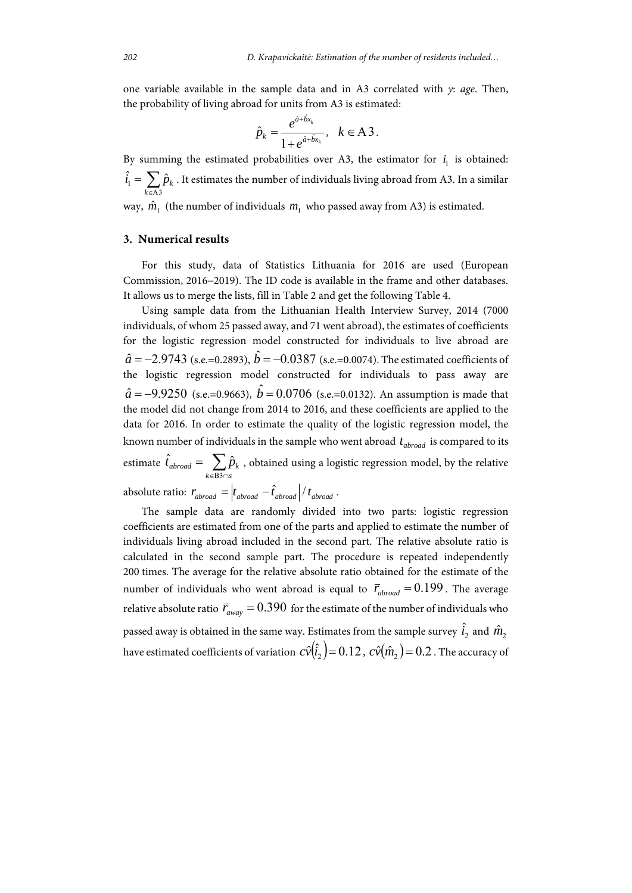one variable available in the sample data and in A3 correlated with *y*: *age*. Then, the probability of living abroad for units from A3 is estimated:

$$
\hat{p}_k = \frac{e^{\hat{a}+\hat{b}x_k}}{1+e^{\hat{a}+\hat{b}x_k}}, \quad k \in \mathbf{A3}.
$$

By summing the estimated probabilities over A3, the estimator for  $i_1$  is obtained:  $\hat{i}_1 = \sum_{k \in A3} \hat{p}_k$  . It estimates the number of individuals living abroad from A3. In a similar A3 *k*

way,  $\hat{m}_1$  (the number of individuals  $m_1$  who passed away from A3) is estimated.

#### **3. Numerical results**

For this study, data of Statistics Lithuania for 2016 are used (European Commission, 2016–2019). The ID code is available in the frame and other databases. It allows us to merge the lists, fill in Table 2 and get the following Table 4.

Using sample data from the Lithuanian Health Interview Survey, 2014 (7000 individuals, of whom 25 passed away, and 71 went abroad), the estimates of coefficients for the logistic regression model constructed for individuals to live abroad are  $\hat{a}$  = –2.9743 (s.e.=0.2893),  $\hat{b}$  = –0.0387 (s.e.=0.0074). The estimated coefficients of the logistic regression model constructed for individuals to pass away are  $\hat{a}$  = -9.9250 (s.e.=0.9663),  $\hat{b}$  = 0.0706 (s.e.=0.0132). An assumption is made that the model did not change from 2014 to 2016, and these coefficients are applied to the data for 2016. In order to estimate the quality of the logistic regression model, the known number of individuals in the sample who went abroad  $t_{abroad}$  is compared to its estimate  $\hat{t}_{abroad} = \sum_{k \in B3 \cap B}$  $k \in B3 \cap s$  $\hat{t}_{abroad} = \sum \hat{p}_k$ B3  $\hat{t}_{\textit{abroad}} = \sum \hat{p}_k$  , obtained using a logistic regression model, by the relative absolute ratio:  $r_{abroad} = |t_{abroad} - \hat{t}_{abroad}| / t_{abroad}$ .

The sample data are randomly divided into two parts: logistic regression coefficients are estimated from one of the parts and applied to estimate the number of individuals living abroad included in the second part. The relative absolute ratio is calculated in the second sample part. The procedure is repeated independently 200 times. The average for the relative absolute ratio obtained for the estimate of the number of individuals who went abroad is equal to  $\bar{r}_{\text{abroad}} = 0.199$ . The average relative absolute ratio  $\bar{r}_{\text{query}} = 0.390$  for the estimate of the number of individuals who passed away is obtained in the same way. Estimates from the sample survey  $\hat{i}_2$  and  $\hat{m}^{}_2$ have estimated coefficients of variation  $c\hat{v}(i) = 0.12$ ,  $c\hat{v}(m) = 0.2$ . The accuracy of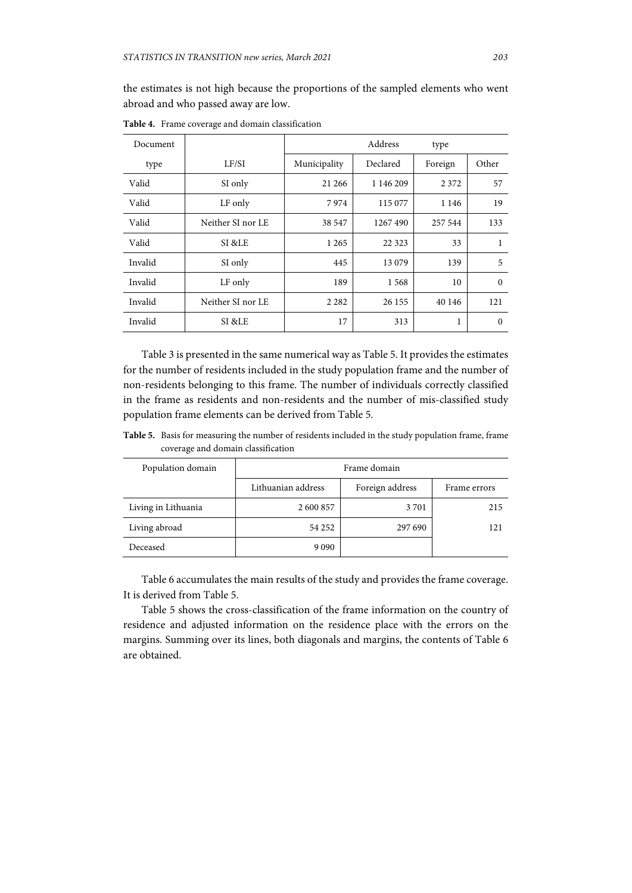the estimates is not high because the proportions of the sampled elements who went abroad and who passed away are low.

| Document |                   |              | Address   | type    |          |
|----------|-------------------|--------------|-----------|---------|----------|
| type     | LF/SI             | Municipality | Declared  | Foreign | Other    |
| Valid    | SI only           | 21 26 6      | 1 146 209 | 2 3 7 2 | 57       |
| Valid    | LF only           | 7974         | 115 077   | 1 1 4 6 | 19       |
| Valid    | Neither SI nor LE | 38 547       | 1267490   | 257 544 | 133      |
| Valid    | SI &LE            | 1 2 6 5      | 22 3 23   | 33      | 1        |
| Invalid  | SI only           | 445          | 13 0 79   | 139     | 5        |
| Invalid  | LF only           | 189          | 1568      | 10      | $\Omega$ |
| Invalid  | Neither SI nor LE | 2 2 8 2      | 26 155    | 40 146  | 121      |
| Invalid  | SI &LE            | 17           | 313       | 1       | $\Omega$ |

**Table 4.** Frame coverage and domain classification

Table 3 is presented in the same numerical way as Table 5. It provides the estimates for the number of residents included in the study population frame and the number of non-residents belonging to this frame. The number of individuals correctly classified in the frame as residents and non-residents and the number of mis-classified study population frame elements can be derived from Table 5.

**Table 5.** Basis for measuring the number of residents included in the study population frame, frame coverage and domain classification

| Population domain   | Frame domain       |                 |              |  |  |
|---------------------|--------------------|-----------------|--------------|--|--|
|                     | Lithuanian address | Foreign address | Frame errors |  |  |
| Living in Lithuania | 2 600 857          | 3 7 0 1         | 215          |  |  |
| Living abroad       | 54 252             | 297 690         | 121          |  |  |
| Deceased            | 9 0 9 0            |                 |              |  |  |

Table 6 accumulates the main results of the study and provides the frame coverage. It is derived from Table 5.

Table 5 shows the cross-classification of the frame information on the country of residence and adjusted information on the residence place with the errors on the margins. Summing over its lines, both diagonals and margins, the contents of Table 6 are obtained.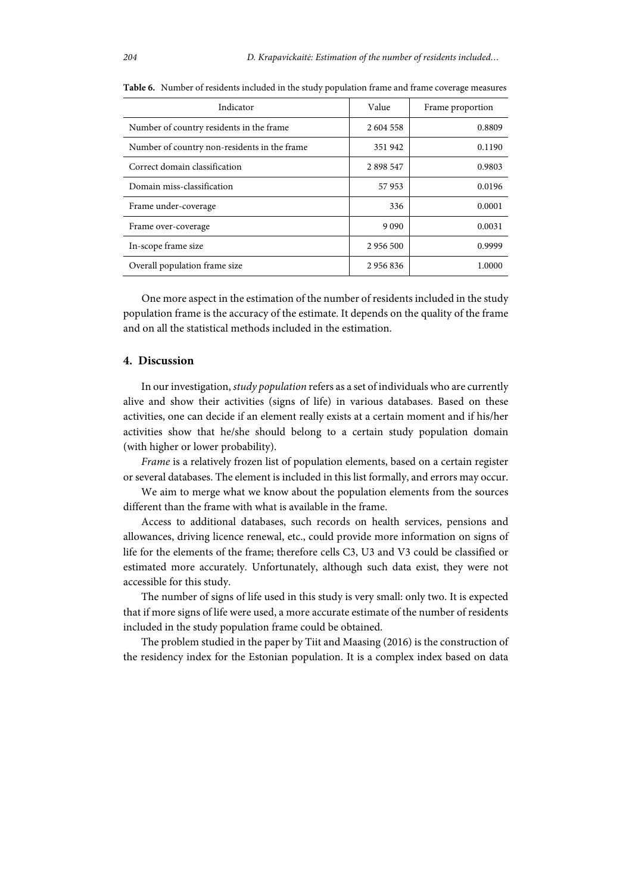| Indicator                                    | Value     | Frame proportion |
|----------------------------------------------|-----------|------------------|
| Number of country residents in the frame.    | 2 604 558 | 0.8809           |
| Number of country non-residents in the frame | 351942    | 0.1190           |
| Correct domain classification                | 2898547   | 0.9803           |
| Domain miss-classification                   | 57953     | 0.0196           |
| Frame under-coverage                         | 336       | 0.0001           |
| Frame over-coverage                          | 9 0 9 0   | 0.0031           |
| In-scope frame size                          | 2 956 500 | 0.9999           |
| Overall population frame size                | 2956836   | 1.0000           |

**Table 6.** Number of residents included in the study population frame and frame coverage measures

One more aspect in the estimation of the number of residents included in the study population frame is the accuracy of the estimate. It depends on the quality of the frame and on all the statistical methods included in the estimation.

# **4. Discussion**

In our investigation, *study population* refers as a set of individuals who are currently alive and show their activities (signs of life) in various databases. Based on these activities, one can decide if an element really exists at a certain moment and if his/her activities show that he/she should belong to a certain study population domain (with higher or lower probability).

*Frame* is a relatively frozen list of population elements, based on a certain register or several databases. The element is included in this list formally, and errors may occur.

We aim to merge what we know about the population elements from the sources different than the frame with what is available in the frame.

Access to additional databases, such records on health services, pensions and allowances, driving licence renewal, etc., could provide more information on signs of life for the elements of the frame; therefore cells C3, U3 and V3 could be classified or estimated more accurately. Unfortunately, although such data exist, they were not accessible for this study.

The number of signs of life used in this study is very small: only two. It is expected that if more signs of life were used, a more accurate estimate of the number of residents included in the study population frame could be obtained.

The problem studied in the paper by Tiit and Maasing (2016) is the construction of the residency index for the Estonian population. It is a complex index based on data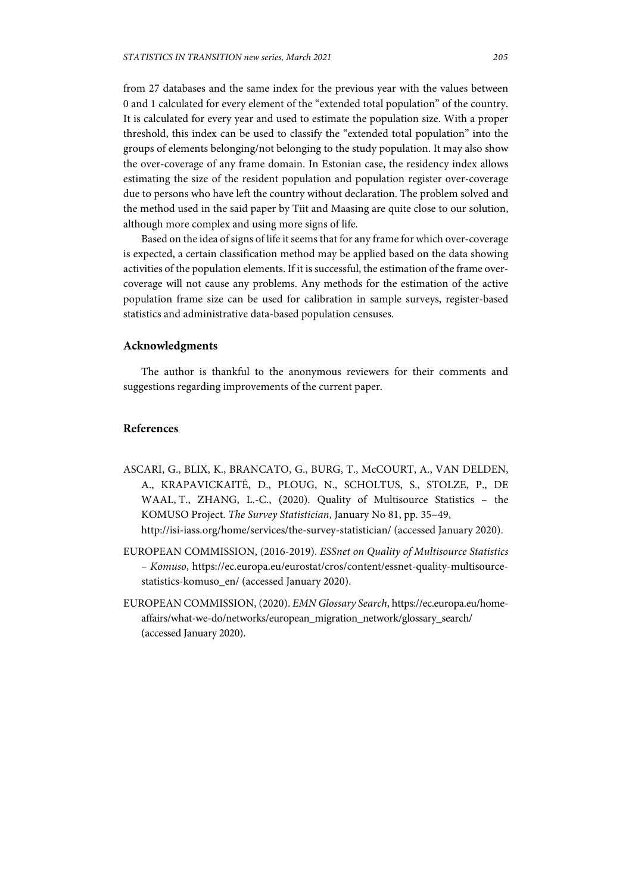from 27 databases and the same index for the previous year with the values between 0 and 1 calculated for every element of the "extended total population" of the country. It is calculated for every year and used to estimate the population size. With a proper threshold, this index can be used to classify the "extended total population" into the groups of elements belonging/not belonging to the study population. It may also show the over-coverage of any frame domain. In Estonian case, the residency index allows estimating the size of the resident population and population register over-coverage due to persons who have left the country without declaration. The problem solved and the method used in the said paper by Tiit and Maasing are quite close to our solution, although more complex and using more signs of life.

Based on the idea of signs of life it seems that for any frame for which over-coverage is expected, a certain classification method may be applied based on the data showing activities of the population elements. If it is successful, the estimation of the frame overcoverage will not cause any problems. Any methods for the estimation of the active population frame size can be used for calibration in sample surveys, register-based statistics and administrative data-based population censuses.

### **Acknowledgments**

The author is thankful to the anonymous reviewers for their comments and suggestions regarding improvements of the current paper.

# **References**

- ASCARI, G., BLIX, K., BRANCATO, G., BURG, T., McCOURT, A., VAN DELDEN, A., KRAPAVICKAITĖ, D., PLOUG, N., SCHOLTUS, S., STOLZE, P., DE WAAL, T., ZHANG, L.-C., (2020). Quality of Multisource Statistics – the KOMUSO Project. *The Survey Statistician*, January No 81, pp. 35−49, http://isi-iass.org/home/services/the-survey-statistician/ (accessed January 2020).
- EUROPEAN COMMISSION, (2016-2019). *ESSnet on Quality of Multisource Statistics – Komuso*, https://ec.europa.eu/eurostat/cros/content/essnet-quality-multisourcestatistics-komuso\_en/ (accessed January 2020).
- EUROPEAN COMMISSION, (2020). *EMN Glossary Search*, https://ec.europa.eu/homeaffairs/what-we-do/networks/european\_migration\_network/glossary\_search/ (accessed January 2020).